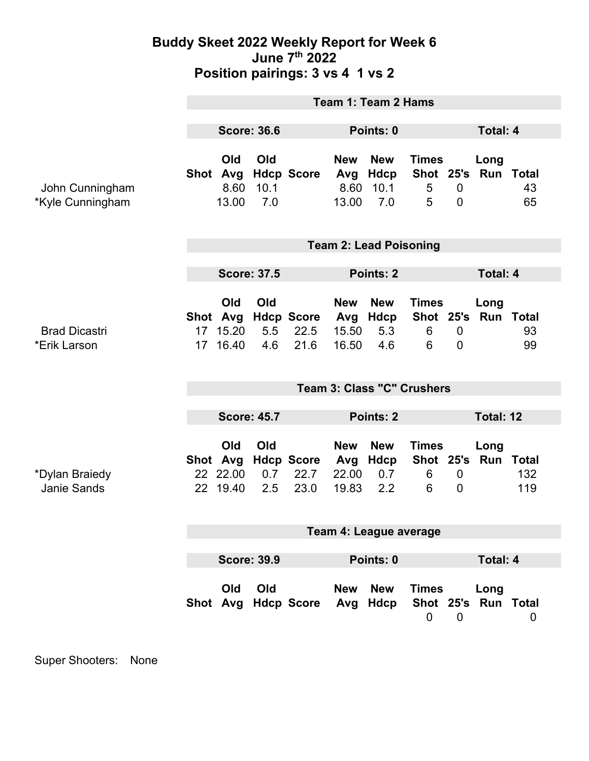## **Buddy Skeet 2022 Weekly Report for Week 6 June 7th 2022 Position pairings: 3 vs 4 1 vs 2**

|                                      | Team 1: Team 2 Hams                 |                                         |                    |                                   |                                     |                                      |                                     |                                  |                             |            |
|--------------------------------------|-------------------------------------|-----------------------------------------|--------------------|-----------------------------------|-------------------------------------|--------------------------------------|-------------------------------------|----------------------------------|-----------------------------|------------|
|                                      |                                     |                                         |                    |                                   |                                     |                                      |                                     |                                  |                             |            |
|                                      | <b>Score: 36.6</b>                  |                                         |                    |                                   | Points: 0                           |                                      |                                     | <b>Total: 4</b>                  |                             |            |
| John Cunningham<br>*Kyle Cunningham  |                                     | Old<br>Shot Avg<br>8.60<br>13.00        | Old<br>10.1<br>7.0 | <b>Hdcp Score</b>                 | <b>New</b><br>Avg<br>8.60<br>13.00  | <b>New</b><br>Hdcp<br>10.1<br>7.0    | <b>Times</b><br>5<br>5              | $\overline{0}$<br>$\overline{0}$ | Long<br>Shot 25's Run Total | 43<br>65   |
|                                      | <b>Team 2: Lead Poisoning</b>       |                                         |                    |                                   |                                     |                                      |                                     |                                  |                             |            |
|                                      |                                     |                                         |                    |                                   |                                     |                                      |                                     |                                  |                             |            |
|                                      | <b>Score: 37.5</b>                  |                                         |                    |                                   | Points: 2                           |                                      |                                     | <b>Total: 4</b>                  |                             |            |
| <b>Brad Dicastri</b><br>*Erik Larson | 17 <sup>1</sup><br>17 <sup>17</sup> | Old<br>Shot Avg<br>15.20<br>16.40       | Old<br>5.5<br>4.6  | <b>Hdcp Score</b><br>22.5<br>21.6 | <b>New</b><br>15.50<br>16.50        | <b>New</b><br>Avg Hdcp<br>5.3<br>4.6 | <b>Times</b><br>Shot 25's<br>6<br>6 | $\overline{0}$<br>$\overline{0}$ | Long<br><b>Run Total</b>    | 93<br>99   |
|                                      | <b>Team 3: Class "C" Crushers</b>   |                                         |                    |                                   |                                     |                                      |                                     |                                  |                             |            |
|                                      |                                     |                                         |                    |                                   |                                     |                                      |                                     |                                  |                             |            |
|                                      |                                     | <b>Score: 45.7</b>                      |                    |                                   | Points: 2                           |                                      |                                     | Total: 12                        |                             |            |
| *Dylan Braiedy<br>Janie Sands        |                                     | Old<br>Shot Avg<br>22 22.00<br>22 19.40 | Old<br>0.7<br>2.5  | <b>Hdcp Score</b><br>22.7<br>23.0 | <b>New</b><br>Avg<br>22.00<br>19.83 | <b>New</b><br>Hdcp<br>0.7<br>2.2     | <b>Times</b><br>6<br>6              | $\mathbf 0$<br>$\overline{0}$    | Long<br>Shot 25's Run Total | 132<br>119 |
|                                      | Team 4: League average              |                                         |                    |                                   |                                     |                                      |                                     |                                  |                             |            |
|                                      |                                     |                                         |                    |                                   |                                     |                                      |                                     |                                  |                             |            |
|                                      | <b>Score: 39.9</b>                  |                                         |                    | Points: 0                         |                                     |                                      | <b>Total: 4</b>                     |                                  |                             |            |
|                                      |                                     | Old                                     | Old                | Shot Avg Hdcp Score               | New                                 | <b>New</b><br>Avg Hdcp               | <b>Times</b><br>$\mathbf 0$         | $\overline{0}$                   | Long<br>Shot 25's Run Total | 0          |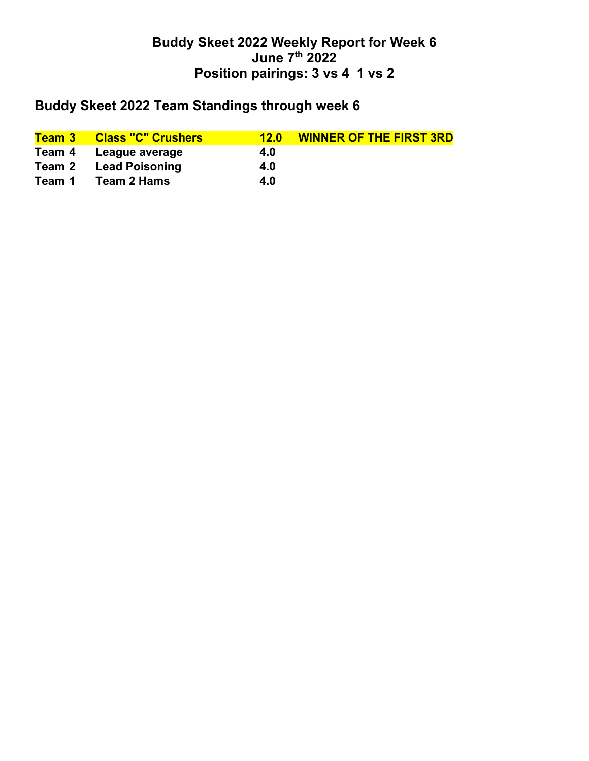## **Buddy Skeet 2022 Weekly Report for Week 6 June 7th 2022 Position pairings: 3 vs 4 1 vs 2**

## **Buddy Skeet 2022 Team Standings through week 6**

|        | <b>Team 3 Class "C" Crushers</b> | 12.0 | <b>WINNER OF THE FIRST 3RD</b> |
|--------|----------------------------------|------|--------------------------------|
|        | Team 4 League average            | 4.0  |                                |
| Team 2 | <b>Lead Poisoning</b>            | 4.0  |                                |
| Team 1 | Team 2 Hams                      | 4.0  |                                |